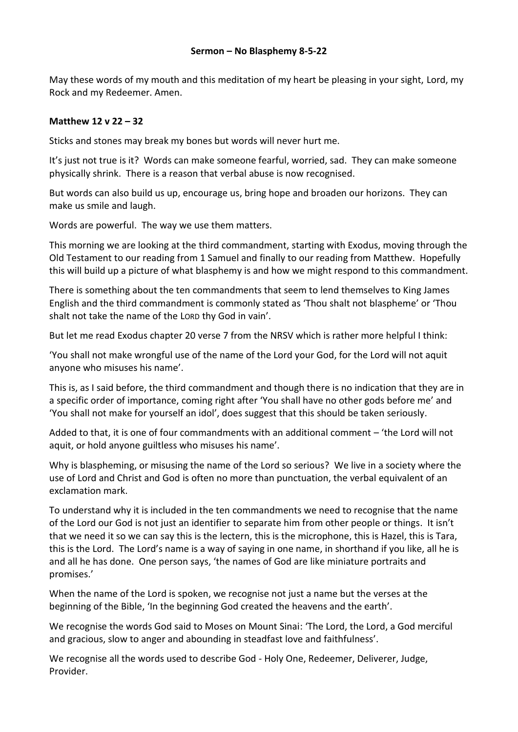May these words of my mouth and this meditation of my heart be pleasing in your sight, Lord, my Rock and my Redeemer. Amen.

## **Matthew 12 v 22 – 32**

Sticks and stones may break my bones but words will never hurt me.

It's just not true is it? Words can make someone fearful, worried, sad. They can make someone physically shrink. There is a reason that verbal abuse is now recognised.

But words can also build us up, encourage us, bring hope and broaden our horizons. They can make us smile and laugh.

Words are powerful. The way we use them matters.

This morning we are looking at the third commandment, starting with Exodus, moving through the Old Testament to our reading from 1 Samuel and finally to our reading from Matthew. Hopefully this will build up a picture of what blasphemy is and how we might respond to this commandment.

There is something about the ten commandments that seem to lend themselves to King James English and the third commandment is commonly stated as 'Thou shalt not blaspheme' or 'Thou shalt not take the name of the LORD thy God in vain'.

But let me read Exodus chapter 20 verse 7 from the NRSV which is rather more helpful I think:

'You shall not make wrongful use of the name of the Lord your God, for the Lord will not aquit anyone who misuses his name'.

This is, as I said before, the third commandment and though there is no indication that they are in a specific order of importance, coming right after 'You shall have no other gods before me' and 'You shall not make for yourself an idol', does suggest that this should be taken seriously.

Added to that, it is one of four commandments with an additional comment – 'the Lord will not aquit, or hold anyone guiltless who misuses his name'.

Why is blaspheming, or misusing the name of the Lord so serious? We live in a society where the use of Lord and Christ and God is often no more than punctuation, the verbal equivalent of an exclamation mark.

To understand why it is included in the ten commandments we need to recognise that the name of the Lord our God is not just an identifier to separate him from other people or things. It isn't that we need it so we can say this is the lectern, this is the microphone, this is Hazel, this is Tara, this is the Lord. The Lord's name is a way of saying in one name, in shorthand if you like, all he is and all he has done. One person says, 'the names of God are like miniature portraits and promises.'

When the name of the Lord is spoken, we recognise not just a name but the verses at the beginning of the Bible, 'In the beginning God created the heavens and the earth'.

We recognise the words God said to Moses on Mount Sinai: 'The Lord, the Lord, a God merciful and gracious, slow to anger and abounding in steadfast love and faithfulness'.

We recognise all the words used to describe God - Holy One, Redeemer, Deliverer, Judge, Provider.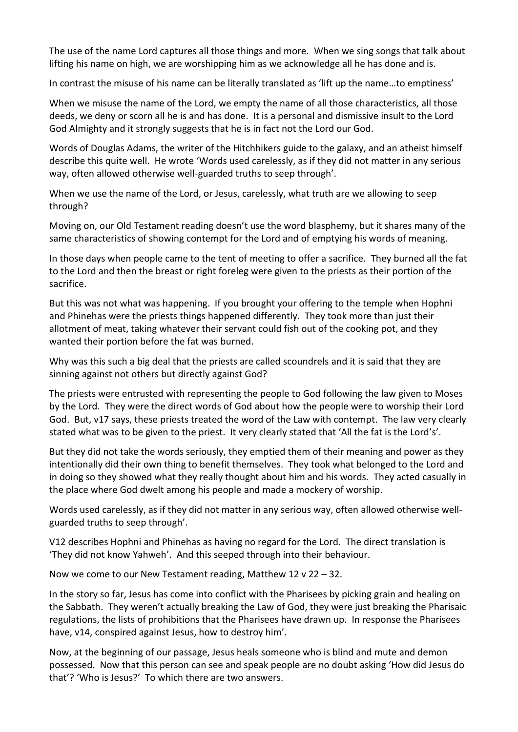The use of the name Lord captures all those things and more. When we sing songs that talk about lifting his name on high, we are worshipping him as we acknowledge all he has done and is.

In contrast the misuse of his name can be literally translated as 'lift up the name…to emptiness'

When we misuse the name of the Lord, we empty the name of all those characteristics, all those deeds, we deny or scorn all he is and has done. It is a personal and dismissive insult to the Lord God Almighty and it strongly suggests that he is in fact not the Lord our God.

Words of Douglas Adams, the writer of the Hitchhikers guide to the galaxy, and an atheist himself describe this quite well. He wrote 'Words used carelessly, as if they did not matter in any serious way, often allowed otherwise well-guarded truths to seep through'.

When we use the name of the Lord, or Jesus, carelessly, what truth are we allowing to seep through?

Moving on, our Old Testament reading doesn't use the word blasphemy, but it shares many of the same characteristics of showing contempt for the Lord and of emptying his words of meaning.

In those days when people came to the tent of meeting to offer a sacrifice. They burned all the fat to the Lord and then the breast or right foreleg were given to the priests as their portion of the sacrifice.

But this was not what was happening. If you brought your offering to the temple when Hophni and Phinehas were the priests things happened differently. They took more than just their allotment of meat, taking whatever their servant could fish out of the cooking pot, and they wanted their portion before the fat was burned.

Why was this such a big deal that the priests are called scoundrels and it is said that they are sinning against not others but directly against God?

The priests were entrusted with representing the people to God following the law given to Moses by the Lord. They were the direct words of God about how the people were to worship their Lord God. But, v17 says, these priests treated the word of the Law with contempt. The law very clearly stated what was to be given to the priest. It very clearly stated that 'All the fat is the Lord's'.

But they did not take the words seriously, they emptied them of their meaning and power as they intentionally did their own thing to benefit themselves. They took what belonged to the Lord and in doing so they showed what they really thought about him and his words. They acted casually in the place where God dwelt among his people and made a mockery of worship.

Words used carelessly, as if they did not matter in any serious way, often allowed otherwise wellguarded truths to seep through'.

V12 describes Hophni and Phinehas as having no regard for the Lord. The direct translation is 'They did not know Yahweh'. And this seeped through into their behaviour.

Now we come to our New Testament reading, Matthew 12 v 22 – 32.

In the story so far, Jesus has come into conflict with the Pharisees by picking grain and healing on the Sabbath. They weren't actually breaking the Law of God, they were just breaking the Pharisaic regulations, the lists of prohibitions that the Pharisees have drawn up. In response the Pharisees have, v14, conspired against Jesus, how to destroy him'.

Now, at the beginning of our passage, Jesus heals someone who is blind and mute and demon possessed. Now that this person can see and speak people are no doubt asking 'How did Jesus do that'? 'Who is Jesus?' To which there are two answers.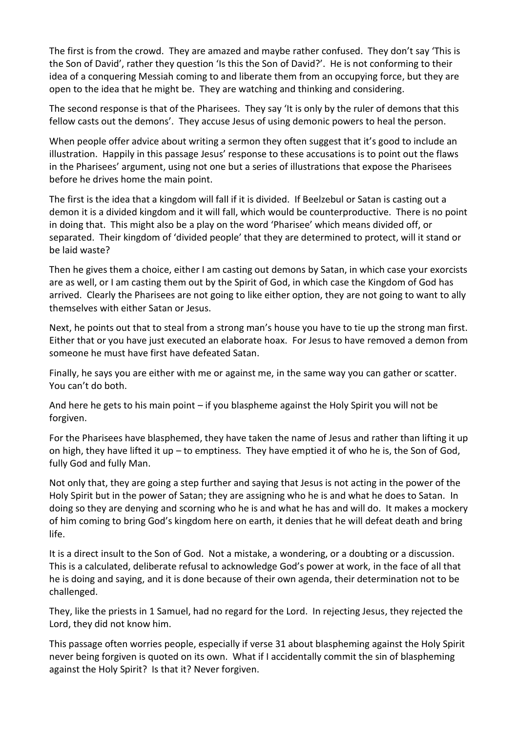The first is from the crowd. They are amazed and maybe rather confused. They don't say 'This is the Son of David', rather they question 'Is this the Son of David?'. He is not conforming to their idea of a conquering Messiah coming to and liberate them from an occupying force, but they are open to the idea that he might be. They are watching and thinking and considering.

The second response is that of the Pharisees. They say 'It is only by the ruler of demons that this fellow casts out the demons'. They accuse Jesus of using demonic powers to heal the person.

When people offer advice about writing a sermon they often suggest that it's good to include an illustration. Happily in this passage Jesus' response to these accusations is to point out the flaws in the Pharisees' argument, using not one but a series of illustrations that expose the Pharisees before he drives home the main point.

The first is the idea that a kingdom will fall if it is divided. If Beelzebul or Satan is casting out a demon it is a divided kingdom and it will fall, which would be counterproductive. There is no point in doing that. This might also be a play on the word 'Pharisee' which means divided off, or separated. Their kingdom of 'divided people' that they are determined to protect, will it stand or be laid waste?

Then he gives them a choice, either I am casting out demons by Satan, in which case your exorcists are as well, or I am casting them out by the Spirit of God, in which case the Kingdom of God has arrived. Clearly the Pharisees are not going to like either option, they are not going to want to ally themselves with either Satan or Jesus.

Next, he points out that to steal from a strong man's house you have to tie up the strong man first. Either that or you have just executed an elaborate hoax. For Jesus to have removed a demon from someone he must have first have defeated Satan.

Finally, he says you are either with me or against me, in the same way you can gather or scatter. You can't do both.

And here he gets to his main point – if you blaspheme against the Holy Spirit you will not be forgiven.

For the Pharisees have blasphemed, they have taken the name of Jesus and rather than lifting it up on high, they have lifted it up – to emptiness. They have emptied it of who he is, the Son of God, fully God and fully Man.

Not only that, they are going a step further and saying that Jesus is not acting in the power of the Holy Spirit but in the power of Satan; they are assigning who he is and what he does to Satan. In doing so they are denying and scorning who he is and what he has and will do. It makes a mockery of him coming to bring God's kingdom here on earth, it denies that he will defeat death and bring life.

It is a direct insult to the Son of God. Not a mistake, a wondering, or a doubting or a discussion. This is a calculated, deliberate refusal to acknowledge God's power at work, in the face of all that he is doing and saying, and it is done because of their own agenda, their determination not to be challenged.

They, like the priests in 1 Samuel, had no regard for the Lord. In rejecting Jesus, they rejected the Lord, they did not know him.

This passage often worries people, especially if verse 31 about blaspheming against the Holy Spirit never being forgiven is quoted on its own. What if I accidentally commit the sin of blaspheming against the Holy Spirit? Is that it? Never forgiven.